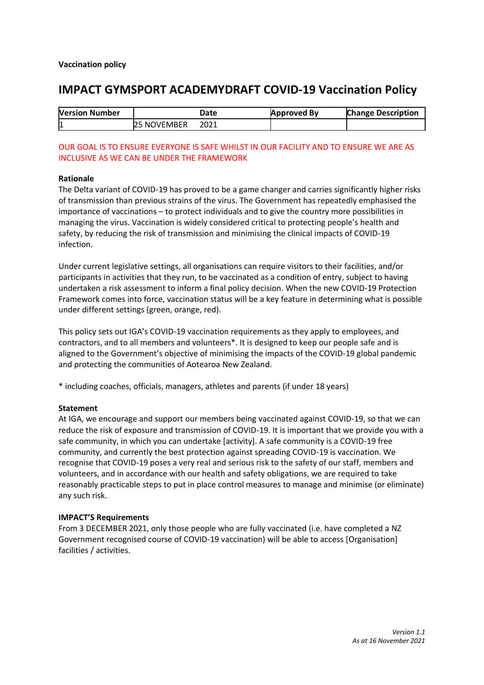# **IMPACT GYMSPORT ACADEMYDRAFT COVID-19 Vaccination Policy**

| <b>Nersion Number</b> |                    | Date | <b>Approved By</b> | <b>Change Description</b> |
|-----------------------|--------------------|------|--------------------|---------------------------|
|                       | <b>25 NOVEMBER</b> | 2021 |                    |                           |

## OUR GOAL IS TO ENSURE EVERYONE IS SAFE WHILST IN OUR FACILITY AND TO ENSURE WE ARE AS INCLUSIVE AS WE CAN BE UNDER THE FRAMEWORK

## **Rationale**

The Delta variant of COVID-19 has proved to be a game changer and carries significantly higher risks of transmission than previous strains of the virus. The Government has repeatedly emphasised the importance of vaccinations – to protect individuals and to give the country more possibilities in managing the virus. Vaccination is widely considered critical to protecting people's health and safety, by reducing the risk of transmission and minimising the clinical impacts of COVID-19 infection.

Under current legislative settings, all organisations can require visitors to their facilities, and/or participants in activities that they run, to be vaccinated as a condition of entry, subject to having undertaken a risk assessment to inform a final policy decision. When the new COVID-19 Protection Framework comes into force, vaccination status will be a key feature in determining what is possible under different settings (green, orange, red).

This policy sets out IGA's COVID-19 vaccination requirements as they apply to employees, and contractors, and to all members and volunteers\*. It is designed to keep our people safe and is aligned to the Government's objective of minimising the impacts of the COVID-19 global pandemic and protecting the communities of Aotearoa New Zealand.

\* including coaches, officials, managers, athletes and parents (if under 18 years)

#### **Statement**

At IGA, we encourage and support our members being vaccinated against COVID-19, so that we can reduce the risk of exposure and transmission of COVID-19. It is important that we provide you with a safe community, in which you can undertake [activity]. A safe community is a COVID-19 free community, and currently the best protection against spreading COVID-19 is vaccination. We recognise that COVID-19 poses a very real and serious risk to the safety of our staff, members and volunteers, and in accordance with our health and safety obligations, we are required to take reasonably practicable steps to put in place control measures to manage and minimise (or eliminate) any such risk.

#### **IMPACT'S Requirements**

From 3 DECEMBER 2021, only those people who are fully vaccinated (i.e. have completed a NZ Government recognised course of COVID-19 vaccination) will be able to access [Organisation] facilities / activities.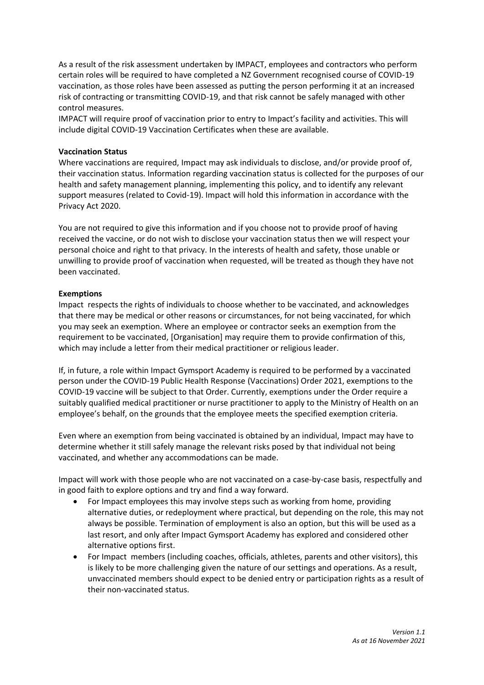As a result of the risk assessment undertaken by IMPACT, employees and contractors who perform certain roles will be required to have completed a NZ Government recognised course of COVID-19 vaccination, as those roles have been assessed as putting the person performing it at an increased risk of contracting or transmitting COVID-19, and that risk cannot be safely managed with other control measures.

IMPACT will require proof of vaccination prior to entry to Impact's facility and activities. This will include digital COVID-19 Vaccination Certificates when these are available.

## **Vaccination Status**

Where vaccinations are required, Impact may ask individuals to disclose, and/or provide proof of, their vaccination status. Information regarding vaccination status is collected for the purposes of our health and safety management planning, implementing this policy, and to identify any relevant support measures (related to Covid-19). Impact will hold this information in accordance with the Privacy Act 2020.

You are not required to give this information and if you choose not to provide proof of having received the vaccine, or do not wish to disclose your vaccination status then we will respect your personal choice and right to that privacy. In the interests of health and safety, those unable or unwilling to provide proof of vaccination when requested, will be treated as though they have not been vaccinated.

## **Exemptions**

Impact respects the rights of individuals to choose whether to be vaccinated, and acknowledges that there may be medical or other reasons or circumstances, for not being vaccinated, for which you may seek an exemption. Where an employee or contractor seeks an exemption from the requirement to be vaccinated, [Organisation] may require them to provide confirmation of this, which may include a letter from their medical practitioner or religious leader.

If, in future, a role within Impact Gymsport Academy is required to be performed by a vaccinated person under the COVID-19 Public Health Response (Vaccinations) Order 2021, exemptions to the COVID-19 vaccine will be subject to that Order. Currently, exemptions under the Order require a suitably qualified medical practitioner or nurse practitioner to apply to the Ministry of Health on an employee's behalf, on the grounds that the employee meets the specified exemption criteria.

Even where an exemption from being vaccinated is obtained by an individual, Impact may have to determine whether it still safely manage the relevant risks posed by that individual not being vaccinated, and whether any accommodations can be made.

Impact will work with those people who are not vaccinated on a case-by-case basis, respectfully and in good faith to explore options and try and find a way forward.

- For Impact employees this may involve steps such as working from home, providing alternative duties, or redeployment where practical, but depending on the role, this may not always be possible. Termination of employment is also an option, but this will be used as a last resort, and only after Impact Gymsport Academy has explored and considered other alternative options first.
- For Impact members (including coaches, officials, athletes, parents and other visitors), this is likely to be more challenging given the nature of our settings and operations. As a result, unvaccinated members should expect to be denied entry or participation rights as a result of their non-vaccinated status.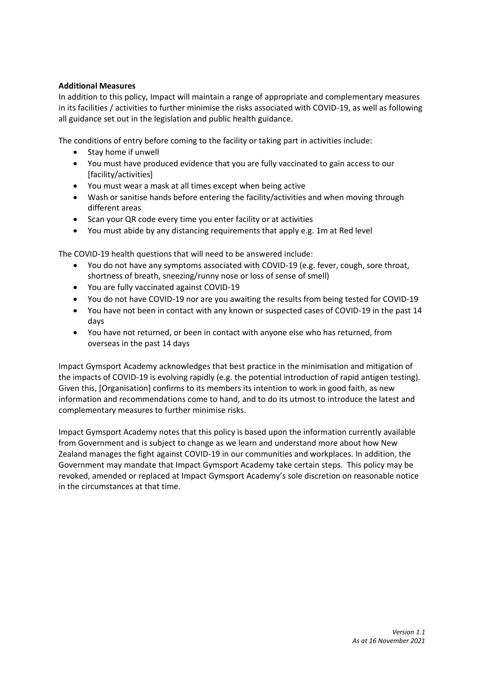# **Additional Measures**

In addition to this policy, Impact will maintain a range of appropriate and complementary measures in its facilities / activities to further minimise the risks associated with COVID-19, as well as following all guidance set out in the legislation and public health guidance.

The conditions of entry before coming to the facility or taking part in activities include:

- Stay home if unwell
- You must have produced evidence that you are fully vaccinated to gain access to our [facility/activities]
- You must wear a mask at all times except when being active
- Wash or sanitise hands before entering the facility/activities and when moving through different areas
- Scan your QR code every time you enter facility or at activities
- You must abide by any distancing requirements that apply e.g. 1m at Red level

The COVID-19 health questions that will need to be answered include:

- You do not have any symptoms associated with COVID-19 (e.g. fever, cough, sore throat, shortness of breath, sneezing/runny nose or loss of sense of smell)
- You are fully vaccinated against COVID-19
- You do not have COVID-19 nor are you awaiting the results from being tested for COVID-19
- You have not been in contact with any known or suspected cases of COVID-19 in the past 14 days
- You have not returned, or been in contact with anyone else who has returned, from overseas in the past 14 days

Impact Gymsport Academy acknowledges that best practice in the minimisation and mitigation of the impacts of COVID-19 is evolving rapidly (e.g. the potential introduction of rapid antigen testing). Given this, [Organisation] confirms to its members its intention to work in good faith, as new information and recommendations come to hand, and to do its utmost to introduce the latest and complementary measures to further minimise risks.

Impact Gymsport Academy notes that this policy is based upon the information currently available from Government and is subject to change as we learn and understand more about how New Zealand manages the fight against COVID-19 in our communities and workplaces. In addition, the Government may mandate that Impact Gymsport Academy take certain steps. This policy may be revoked, amended or replaced at Impact Gymsport Academy's sole discretion on reasonable notice in the circumstances at that time.